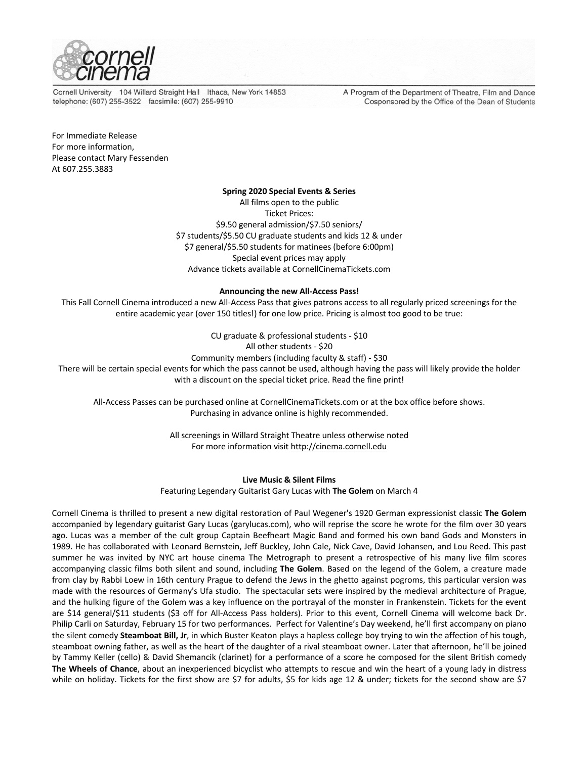

Cornell University 104 Willard Straight Hall Ithaca, New York 14853 telephone: (607) 255-3522 facsimile: (607) 255-9910

A Program of the Department of Theatre, Film and Dance Cosponsored by the Office of the Dean of Students

For Immediate Release For more information, Please contact Mary Fessenden At 607.255.3883

# **Spring 2020 Special Events & Series**

All films open to the public Ticket Prices: \$9.50 general admission/\$7.50 seniors/ \$7 students/\$5.50 CU graduate students and kids 12 & under \$7 general/\$5.50 students for matinees (before 6:00pm) Special event prices may apply Advance tickets available at CornellCinemaTickets.com

# **Announcing the new All-Access Pass!**

This Fall Cornell Cinema introduced a new All-Access Pass that gives patrons access to all regularly priced screenings for the entire academic year (over 150 titles!) for one low price. Pricing is almost too good to be true:

> CU graduate & professional students - \$10 All other students - \$20

Community members (including faculty & staff) - \$30

There will be certain special events for which the pass cannot be used, although having the pass will likely provide the holder with a discount on the special ticket price. Read the fine print!

All-Access Passes can be purchased online at CornellCinemaTickets.com or at the box office before shows. Purchasing in advance online is highly recommended.

> All screenings in Willard Straight Theatre unless otherwise noted For more information visit http://cinema.cornell.edu

# **Live Music & Silent Films**

Featuring Legendary Guitarist Gary Lucas with **The Golem** on March 4

Cornell Cinema is thrilled to present a new digital restoration of Paul Wegener's 1920 German expressionist classic **The Golem** accompanied by legendary guitarist Gary Lucas (garylucas.com), who will reprise the score he wrote for the film over 30 years ago. Lucas was a member of the cult group Captain Beefheart Magic Band and formed his own band Gods and Monsters in 1989. He has collaborated with Leonard Bernstein, Jeff Buckley, John Cale, Nick Cave, David Johansen, and Lou Reed. This past summer he was invited by NYC art house cinema The Metrograph to present a retrospective of his many live film scores accompanying classic films both silent and sound, including **The Golem**. Based on the legend of the Golem, a creature made from clay by Rabbi Loew in 16th century Prague to defend the Jews in the ghetto against pogroms, this particular version was made with the resources of Germany's Ufa studio. The spectacular sets were inspired by the medieval architecture of Prague, and the hulking figure of the Golem was a key influence on the portrayal of the monster in Frankenstein. Tickets for the event are \$14 general/\$11 students (\$3 off for All-Access Pass holders). Prior to this event, Cornell Cinema will welcome back Dr. Philip Carli on Saturday, February 15 for two performances. Perfect for Valentine's Day weekend, he'll first accompany on piano the silent comedy **Steamboat Bill, Jr**, in which Buster Keaton plays a hapless college boy trying to win the affection of his tough, steamboat owning father, as well as the heart of the daughter of a rival steamboat owner. Later that afternoon, he'll be joined by Tammy Keller (cello) & David Shemancik (clarinet) for a performance of a score he composed for the silent British comedy **The Wheels of Chance**, about an inexperienced bicyclist who attempts to rescue and win the heart of a young lady in distress while on holiday. Tickets for the first show are \$7 for adults, \$5 for kids age 12 & under; tickets for the second show are \$7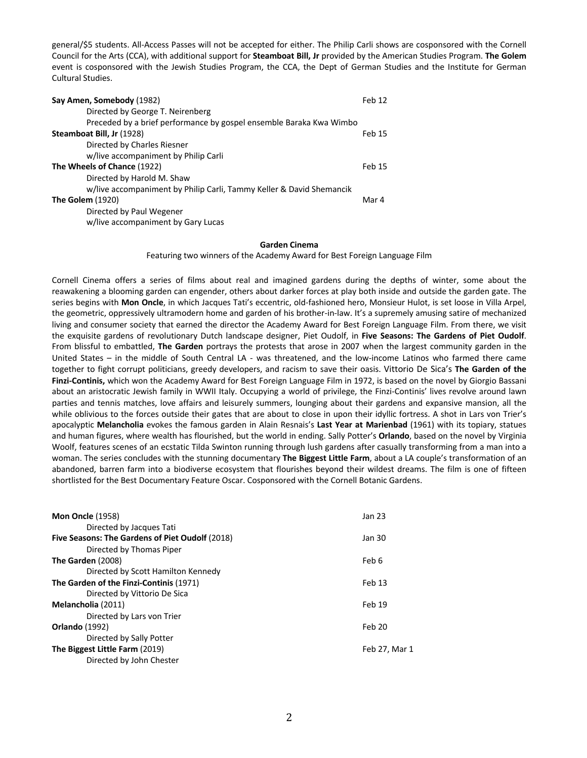general/\$5 students. All-Access Passes will not be accepted for either. The Philip Carli shows are cosponsored with the Cornell Council for the Arts (CCA), with additional support for **Steamboat Bill, Jr** provided by the American Studies Program. **The Golem** event is cosponsored with the Jewish Studies Program, the CCA, the Dept of German Studies and the Institute for German Cultural Studies.

| Say Amen, Somebody (1982)                                            | Feb 12        |
|----------------------------------------------------------------------|---------------|
| Directed by George T. Neirenberg                                     |               |
| Preceded by a brief performance by gospel ensemble Baraka Kwa Wimbo  |               |
| Steamboat Bill, Jr (1928)                                            | <b>Feb 15</b> |
| Directed by Charles Riesner                                          |               |
| w/live accompaniment by Philip Carli                                 |               |
| The Wheels of Chance (1922)                                          | Feb 15        |
| Directed by Harold M. Shaw                                           |               |
| w/live accompaniment by Philip Carli, Tammy Keller & David Shemancik |               |
| <b>The Golem (1920)</b>                                              | Mar 4         |
| Directed by Paul Wegener                                             |               |
| w/live accompaniment by Gary Lucas                                   |               |

#### **Garden Cinema**

Featuring two winners of the Academy Award for Best Foreign Language Film

Cornell Cinema offers a series of films about real and imagined gardens during the depths of winter, some about the reawakening a blooming garden can engender, others about darker forces at play both inside and outside the garden gate. The series begins with **Mon Oncle**, in which Jacques Tati's eccentric, old-fashioned hero, Monsieur Hulot, is set loose in Villa Arpel, the geometric, oppressively ultramodern home and garden of his brother-in-law. It's a supremely amusing satire of mechanized living and consumer society that earned the director the Academy Award for Best Foreign Language Film. From there, we visit the exquisite gardens of revolutionary Dutch landscape designer, Piet Oudolf, in **Five Seasons: The Gardens of Piet Oudolf**. From blissful to embattled, **The Garden** portrays the protests that arose in 2007 when the largest community garden in the United States – in the middle of South Central LA - was threatened, and the low-income Latinos who farmed there came together to fight corrupt politicians, greedy developers, and racism to save their oasis. Vittorio De Sica's **The Garden of the Finzi-Continis,** which won the Academy Award for Best Foreign Language Film in 1972, is based on the novel by Giorgio Bassani about an aristocratic Jewish family in WWII Italy. Occupying a world of privilege, the Finzi-Continis' lives revolve around lawn parties and tennis matches, love affairs and leisurely summers, lounging about their gardens and expansive mansion, all the while oblivious to the forces outside their gates that are about to close in upon their idyllic fortress. A shot in Lars von Trier's apocalyptic **Melancholia** evokes the famous garden in Alain Resnais's **Last Year at Marienbad** (1961) with its topiary, statues and human figures, where wealth has flourished, but the world in ending. Sally Potter's **Orlando**, based on the novel by Virginia Woolf, features scenes of an ecstatic Tilda Swinton running through lush gardens after casually transforming from a man into a woman. The series concludes with the stunning documentary **The Biggest Little Farm**, about a LA couple's transformation of an abandoned, barren farm into a biodiverse ecosystem that flourishes beyond their wildest dreams. The film is one of fifteen shortlisted for the Best Documentary Feature Oscar. Cosponsored with the Cornell Botanic Gardens.

| <b>Mon Oncle (1958)</b>                         | Jan 23        |
|-------------------------------------------------|---------------|
| Directed by Jacques Tati                        |               |
| Five Seasons: The Gardens of Piet Oudolf (2018) | Jan 30        |
| Directed by Thomas Piper                        |               |
| The Garden (2008)                               | Feb 6         |
| Directed by Scott Hamilton Kennedy              |               |
| The Garden of the Finzi-Continis (1971)         | Feb 13        |
| Directed by Vittorio De Sica                    |               |
| Melancholia (2011)                              | Feb 19        |
| Directed by Lars von Trier                      |               |
| <b>Orlando</b> (1992)                           | Feb 20        |
| Directed by Sally Potter                        |               |
| The Biggest Little Farm (2019)                  | Feb 27, Mar 1 |
| Directed by John Chester                        |               |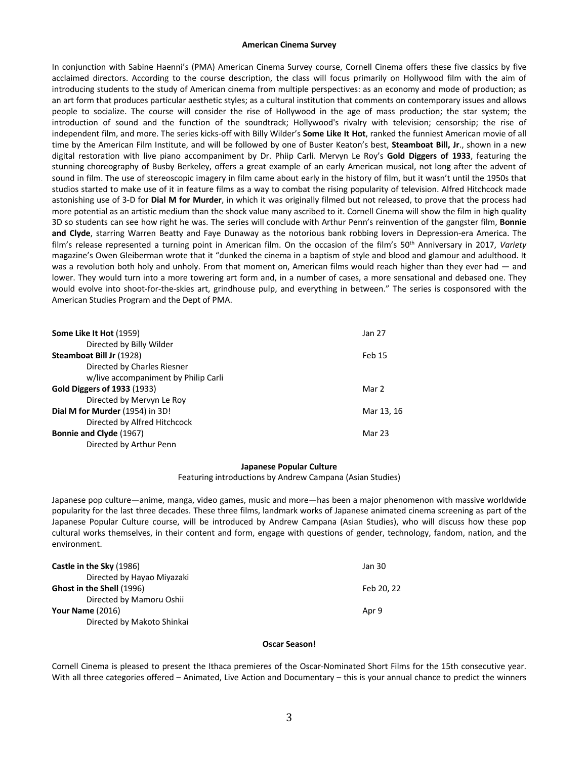#### **American Cinema Survey**

In conjunction with Sabine Haenni's (PMA) American Cinema Survey course, Cornell Cinema offers these five classics by five acclaimed directors. According to the course description, the class will focus primarily on Hollywood film with the aim of introducing students to the study of American cinema from multiple perspectives: as an economy and mode of production; as an art form that produces particular aesthetic styles; as a cultural institution that comments on contemporary issues and allows people to socialize. The course will consider the rise of Hollywood in the age of mass production; the star system; the introduction of sound and the function of the soundtrack; Hollywood's rivalry with television; censorship; the rise of independent film, and more. The series kicks-off with Billy Wilder's **Some Like It Hot**, ranked the funniest American movie of all time by the American Film Institute, and will be followed by one of Buster Keaton's best, **Steamboat Bill, Jr**., shown in a new digital restoration with live piano accompaniment by Dr. Phiip Carli. Mervyn Le Roy's **Gold Diggers of 1933**, featuring the stunning choreography of Busby Berkeley, offers a great example of an early American musical, not long after the advent of sound in film. The use of stereoscopic imagery in film came about early in the history of film, but it wasn't until the 1950s that studios started to make use of it in feature films as a way to combat the rising popularity of television. Alfred Hitchcock made astonishing use of 3-D for **Dial M for Murder**, in which it was originally filmed but not released, to prove that the process had more potential as an artistic medium than the shock value many ascribed to it. Cornell Cinema will show the film in high quality 3D so students can see how right he was. The series will conclude with Arthur Penn's reinvention of the gangster film, **Bonnie and Clyde**, starring Warren Beatty and Faye Dunaway as the notorious bank robbing lovers in Depression-era America. The film's release represented a turning point in American film. On the occasion of the film's 50th Anniversary in 2017, *Variety* magazine's Owen Gleiberman wrote that it "dunked the cinema in a baptism of style and blood and glamour and adulthood. It was a revolution both holy and unholy. From that moment on, American films would reach higher than they ever had — and lower. They would turn into a more towering art form and, in a number of cases, a more sensational and debased one. They would evolve into shoot-for-the-skies art, grindhouse pulp, and everything in between." The series is cosponsored with the American Studies Program and the Dept of PMA.

| Jan 27     |
|------------|
|            |
| Feb 15     |
|            |
|            |
| Mar 2      |
|            |
| Mar 13, 16 |
|            |
| Mar 23     |
|            |
|            |

#### **Japanese Popular Culture**

Featuring introductions by Andrew Campana (Asian Studies)

Japanese pop culture—anime, manga, video games, music and more—has been a major phenomenon with massive worldwide popularity for the last three decades. These three films, landmark works of Japanese animated cinema screening as part of the Japanese Popular Culture course, will be introduced by Andrew Campana (Asian Studies), who will discuss how these pop cultural works themselves, in their content and form, engage with questions of gender, technology, fandom, nation, and the environment.

| Castle in the Sky (1986)         | Jan 30     |
|----------------------------------|------------|
| Directed by Hayao Miyazaki       |            |
| <b>Ghost in the Shell (1996)</b> | Feb 20, 22 |
| Directed by Mamoru Oshii         |            |
| <b>Your Name (2016)</b>          | Apr 9      |
| Directed by Makoto Shinkai       |            |

#### **Oscar Season!**

Cornell Cinema is pleased to present the Ithaca premieres of the Oscar-Nominated Short Films for the 15th consecutive year. With all three categories offered – Animated, Live Action and Documentary – this is your annual chance to predict the winners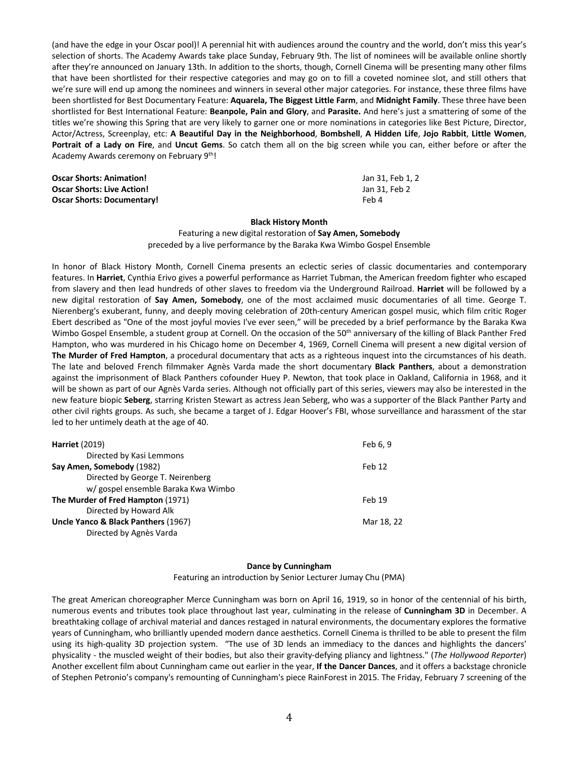(and have the edge in your Oscar pool)! A perennial hit with audiences around the country and the world, don't miss this year's selection of shorts. The Academy Awards take place Sunday, February 9th. The list of nominees will be available online shortly after they're announced on January 13th. In addition to the shorts, though, Cornell Cinema will be presenting many other films that have been shortlisted for their respective categories and may go on to fill a coveted nominee slot, and still others that we're sure will end up among the nominees and winners in several other major categories. For instance, these three films have been shortlisted for Best Documentary Feature: **Aquarela, The Biggest Little Farm**, and **Midnight Family**. These three have been shortlisted for Best International Feature: **Beanpole, Pain and Glory**, and **Parasite.** And here's just a smattering of some of the titles we're showing this Spring that are very likely to garner one or more nominations in categories like Best Picture, Director, Actor/Actress, Screenplay, etc: **A Beautiful Day in the Neighborhood**, **Bombshell**, **A Hidden Life**, **Jojo Rabbit**, **Little Women**, **Portrait of a Lady on Fire**, and **Uncut Gems**. So catch them all on the big screen while you can, either before or after the Academy Awards ceremony on February 9th!

| <b>Oscar Shorts: Animation!</b>   | Jan 31. Feb 1. 2 |
|-----------------------------------|------------------|
| <b>Oscar Shorts: Live Action!</b> | Jan 31. Feb 2    |
| <b>Oscar Shorts: Documentary!</b> | Feb 4            |

## **Black History Month**

Featuring a new digital restoration of **Say Amen, Somebody** preceded by a live performance by the Baraka Kwa Wimbo Gospel Ensemble

In honor of Black History Month, Cornell Cinema presents an eclectic series of classic documentaries and contemporary features. In **Harriet**, Cynthia Erivo gives a powerful performance as Harriet Tubman, the American freedom fighter who escaped from slavery and then lead hundreds of other slaves to freedom via the Underground Railroad. **Harriet** will be followed by a new digital restoration of **Say Amen, Somebody**, one of the most acclaimed music documentaries of all time. George T. Nierenberg's exuberant, funny, and deeply moving celebration of 20th-century American gospel music, which film critic Roger Ebert described as "One of the most joyful movies I've ever seen," will be preceded by a brief performance by the Baraka Kwa Wimbo Gospel Ensemble, a student group at Cornell. On the occasion of the 50<sup>th</sup> anniversary of the killing of Black Panther Fred Hampton, who was murdered in his Chicago home on December 4, 1969, Cornell Cinema will present a new digital version of **The Murder of Fred Hampton**, a procedural documentary that acts as a righteous inquest into the circumstances of his death. The late and beloved French filmmaker Agnès Varda made the short documentary **Black Panthers**, about a demonstration against the imprisonment of Black Panthers cofounder Huey P. Newton, that took place in Oakland, California in 1968, and it will be shown as part of our Agnès Varda series. Although not officially part of this series, viewers may also be interested in the new feature biopic **Seberg**, starring Kristen Stewart as actress Jean Seberg, who was a supporter of the Black Panther Party and other civil rights groups. As such, she became a target of J. Edgar Hoover's FBI, whose surveillance and harassment of the star led to her untimely death at the age of 40.

| <b>Harriet (2019)</b>               | Feb 6, 9   |
|-------------------------------------|------------|
| Directed by Kasi Lemmons            |            |
| Say Amen, Somebody (1982)           | Feb 12     |
| Directed by George T. Neirenberg    |            |
| w/ gospel ensemble Baraka Kwa Wimbo |            |
| The Murder of Fred Hampton (1971)   | Feb 19     |
| Directed by Howard Alk              |            |
| Uncle Yanco & Black Panthers (1967) | Mar 18, 22 |
| Directed by Agnès Varda             |            |
|                                     |            |

## **Dance by Cunningham**

Featuring an introduction by Senior Lecturer Jumay Chu (PMA)

The great American choreographer Merce Cunningham was born on April 16, 1919, so in honor of the centennial of his birth, numerous events and tributes took place throughout last year, culminating in the release of **Cunningham 3D** in December. A breathtaking collage of archival material and dances restaged in natural environments, the documentary explores the formative years of Cunningham, who brilliantly upended modern dance aesthetics. Cornell Cinema is thrilled to be able to present the film using its high-quality 3D projection system. "The use of 3D lends an immediacy to the dances and highlights the dancers' physicality - the muscled weight of their bodies, but also their gravity-defying pliancy and lightness." (*The Hollywood Reporter*) Another excellent film about Cunningham came out earlier in the year, **If the Dancer Dances**, and it offers a backstage chronicle of Stephen Petronio's company's remounting of Cunningham's piece RainForest in 2015. The Friday, February 7 screening of the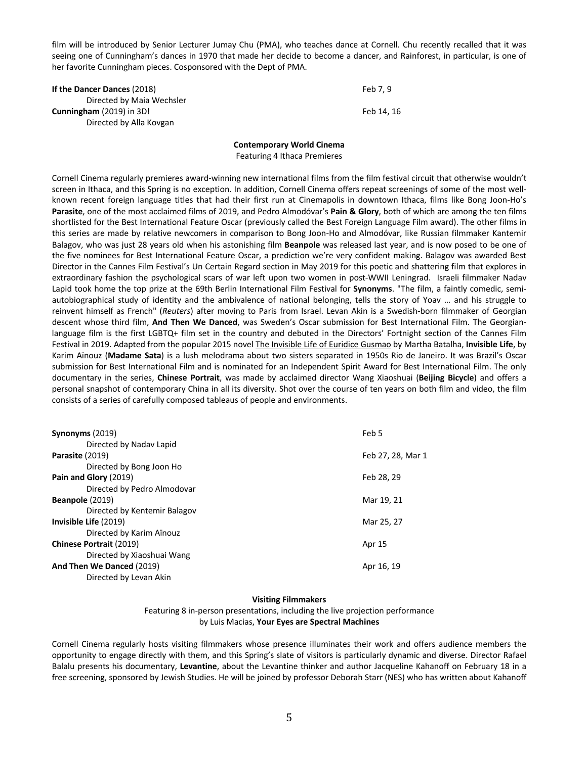film will be introduced by Senior Lecturer Jumay Chu (PMA), who teaches dance at Cornell. Chu recently recalled that it was seeing one of Cunningham's dances in 1970 that made her decide to become a dancer, and Rainforest, in particular, is one of her favorite Cunningham pieces. Cosponsored with the Dept of PMA.

| If the Dancer Dances (2018) | Feb 7.9    |
|-----------------------------|------------|
| Directed by Maia Wechsler   |            |
| Cunningham (2019) in 3D!    | Feb 14. 16 |
| Directed by Alla Kovgan     |            |

# **Contemporary World Cinema** Featuring 4 Ithaca Premieres

Cornell Cinema regularly premieres award-winning new international films from the film festival circuit that otherwise wouldn't screen in Ithaca, and this Spring is no exception. In addition, Cornell Cinema offers repeat screenings of some of the most wellknown recent foreign language titles that had their first run at Cinemapolis in downtown Ithaca, films like Bong Joon-Ho's **Parasite**, one of the most acclaimed films of 2019, and Pedro Almodóvar's **Pain & Glory**, both of which are among the ten films shortlisted for the Best International Feature Oscar (previously called the Best Foreign Language Film award). The other films in this series are made by relative newcomers in comparison to Bong Joon-Ho and Almodóvar, like Russian filmmaker Kantemir Balagov, who was just 28 years old when his astonishing film **Beanpole** was released last year, and is now posed to be one of the five nominees for Best International Feature Oscar, a prediction we're very confident making. Balagov was awarded Best Director in the Cannes Film Festival's Un Certain Regard section in May 2019 for this poetic and shattering film that explores in extraordinary fashion the psychological scars of war left upon two women in post-WWII Leningrad. Israeli filmmaker Nadav Lapid took home the top prize at the 69th Berlin International Film Festival for **Synonyms**. "The film, a faintly comedic, semiautobiographical study of identity and the ambivalence of national belonging, tells the story of Yoav … and his struggle to reinvent himself as French" (*Reuters*) after moving to Paris from Israel. Levan Akin is a Swedish-born filmmaker of Georgian descent whose third film, **And Then We Danced**, was Sweden's Oscar submission for Best International Film. The Georgianlanguage film is the first LGBTQ+ film set in the country and debuted in the Directors' Fortnight section of the Cannes Film Festival in 2019. Adapted from the popular 2015 novel The Invisible Life of Euridice Gusmao by Martha Batalha, **Invisible Life**, by Karim Aïnouz (**Madame Sata**) is a lush melodrama about two sisters separated in 1950s Rio de Janeiro. It was Brazil's Oscar submission for Best International Film and is nominated for an Independent Spirit Award for Best International Film. The only documentary in the series, **Chinese Portrait**, was made by acclaimed director Wang Xiaoshuai (**Beijing Bicycle**) and offers a personal snapshot of contemporary China in all its diversity. Shot over the course of ten years on both film and video, the film consists of a series of carefully composed tableaus of people and environments.

| Synonyms (2019)                | Feb 5             |
|--------------------------------|-------------------|
| Directed by Naday Lapid        |                   |
| Parasite (2019)                | Feb 27, 28, Mar 1 |
| Directed by Bong Joon Ho       |                   |
| Pain and Glory (2019)          | Feb 28, 29        |
| Directed by Pedro Almodovar    |                   |
| Beanpole (2019)                | Mar 19, 21        |
| Directed by Kentemir Balagov   |                   |
| Invisible Life (2019)          | Mar 25, 27        |
| Directed by Karim Aïnouz       |                   |
| <b>Chinese Portrait (2019)</b> | Apr 15            |
| Directed by Xiaoshuai Wang     |                   |
| And Then We Danced (2019)      | Apr 16, 19        |
| Directed by Levan Akin         |                   |
|                                |                   |

# **Visiting Filmmakers**

# Featuring 8 in-person presentations, including the live projection performance by Luis Macias, **Your Eyes are Spectral Machines**

Cornell Cinema regularly hosts visiting filmmakers whose presence illuminates their work and offers audience members the opportunity to engage directly with them, and this Spring's slate of visitors is particularly dynamic and diverse. Director Rafael Balalu presents his documentary, **Levantine**, about the Levantine thinker and author Jacqueline Kahanoff on February 18 in a free screening, sponsored by Jewish Studies. He will be joined by professor Deborah Starr (NES) who has written about Kahanoff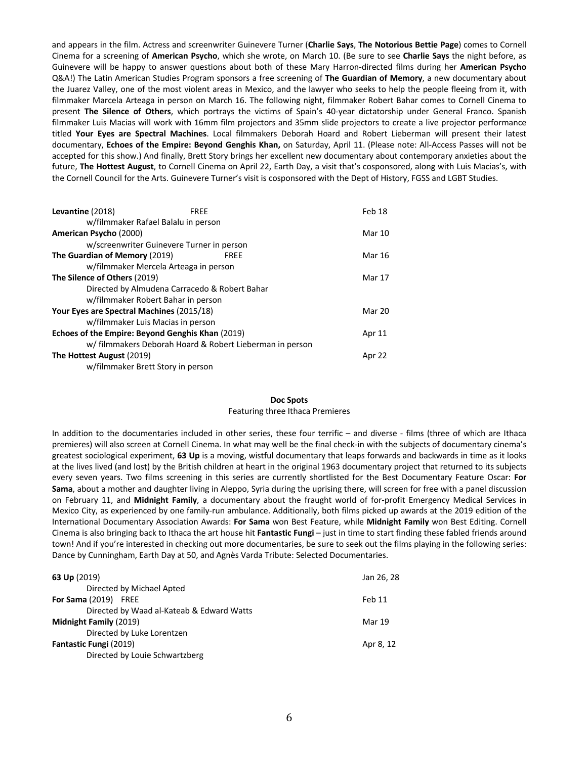and appears in the film. Actress and screenwriter Guinevere Turner (**Charlie Says**, **The Notorious Bettie Page**) comes to Cornell Cinema for a screening of **American Psycho**, which she wrote, on March 10. (Be sure to see **Charlie Says** the night before, as Guinevere will be happy to answer questions about both of these Mary Harron-directed films during her **American Psycho** Q&A!) The Latin American Studies Program sponsors a free screening of **The Guardian of Memory**, a new documentary about the Juarez Valley, one of the most violent areas in Mexico, and the lawyer who seeks to help the people fleeing from it, with filmmaker Marcela Arteaga in person on March 16. The following night, filmmaker Robert Bahar comes to Cornell Cinema to present **The Silence of Others**, which portrays the victims of Spain's 40-year dictatorship under General Franco. Spanish filmmaker Luis Macias will work with 16mm film projectors and 35mm slide projectors to create a live projector performance titled **Your Eyes are Spectral Machines**. Local filmmakers Deborah Hoard and Robert Lieberman will present their latest documentary, **Echoes of the Empire: Beyond Genghis Khan,** on Saturday, April 11. (Please note: All-Access Passes will not be accepted for this show.) And finally, Brett Story brings her excellent new documentary about contemporary anxieties about the future, **The Hottest August**, to Cornell Cinema on April 22, Earth Day, a visit that's cosponsored, along with Luis Macias's, with the Cornell Council for the Arts. Guinevere Turner's visit is cosponsored with the Dept of History, FGSS and LGBT Studies.

| Levantine (2018)                                 | <b>FRFF</b>                                   |                                                          | Feb 18 |
|--------------------------------------------------|-----------------------------------------------|----------------------------------------------------------|--------|
|                                                  | w/filmmaker Rafael Balalu in person           |                                                          |        |
| American Psycho (2000)                           |                                               |                                                          | Mar 10 |
|                                                  | w/screenwriter Guinevere Turner in person     |                                                          |        |
| The Guardian of Memory (2019)                    |                                               | <b>FREE</b>                                              | Mar 16 |
|                                                  | w/filmmaker Mercela Arteaga in person         |                                                          |        |
| The Silence of Others (2019)                     |                                               |                                                          | Mar 17 |
|                                                  | Directed by Almudena Carracedo & Robert Bahar |                                                          |        |
|                                                  | w/filmmaker Robert Bahar in person            |                                                          |        |
| Your Eyes are Spectral Machines (2015/18)        |                                               |                                                          | Mar 20 |
|                                                  | w/filmmaker Luis Macias in person             |                                                          |        |
| Echoes of the Empire: Beyond Genghis Khan (2019) |                                               |                                                          | Apr 11 |
|                                                  |                                               | w/ filmmakers Deborah Hoard & Robert Lieberman in person |        |
| The Hottest August (2019)                        |                                               |                                                          | Apr 22 |
|                                                  | w/filmmaker Brett Story in person             |                                                          |        |
|                                                  |                                               |                                                          |        |

# **Doc Spots**

#### Featuring three Ithaca Premieres

In addition to the documentaries included in other series, these four terrific – and diverse - films (three of which are Ithaca premieres) will also screen at Cornell Cinema. In what may well be the final check-in with the subjects of documentary cinema's greatest sociological experiment, **63 Up** is a moving, wistful documentary that leaps forwards and backwards in time as it looks at the lives lived (and lost) by the British children at heart in the original 1963 documentary project that returned to its subjects every seven years. Two films screening in this series are currently shortlisted for the Best Documentary Feature Oscar: **For Sama**, about a mother and daughter living in Aleppo, Syria during the uprising there, will screen for free with a panel discussion on February 11, and **Midnight Family**, a documentary about the fraught world of for-profit Emergency Medical Services in Mexico City, as experienced by one family-run ambulance. Additionally, both films picked up awards at the 2019 edition of the International Documentary Association Awards: **For Sama** won Best Feature, while **Midnight Family** won Best Editing. Cornell Cinema is also bringing back to Ithaca the art house hit **Fantastic Fungi** – just in time to start finding these fabled friends around town! And if you're interested in checking out more documentaries, be sure to seek out the films playing in the following series: Dance by Cunningham, Earth Day at 50, and Agnès Varda Tribute: Selected Documentaries.

| 63 Up $(2019)$                            | Jan 26, 28 |
|-------------------------------------------|------------|
| Directed by Michael Apted                 |            |
| For Sama (2019) FREE                      | Feb 11     |
| Directed by Waad al-Kateab & Edward Watts |            |
| Midnight Family (2019)                    | Mar 19     |
| Directed by Luke Lorentzen                |            |
| <b>Fantastic Fungi (2019)</b>             | Apr 8, 12  |
| Directed by Louie Schwartzberg            |            |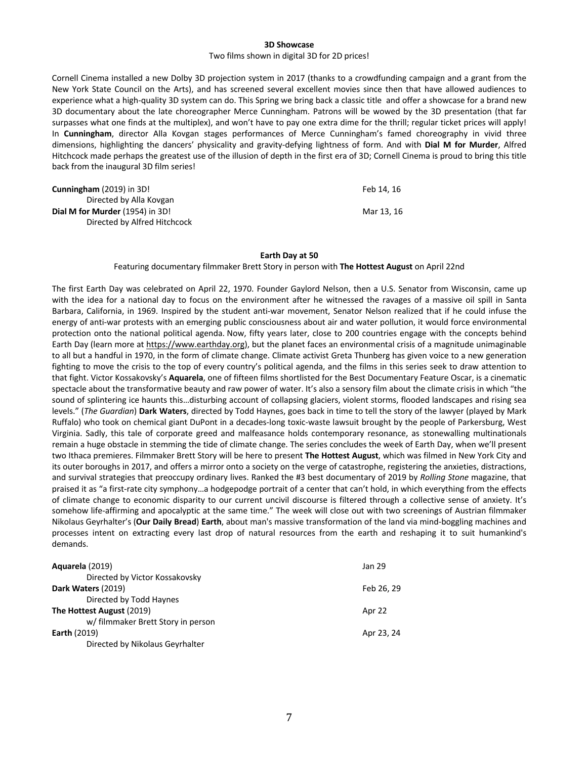#### **3D Showcase**

#### Two films shown in digital 3D for 2D prices!

Cornell Cinema installed a new Dolby 3D projection system in 2017 (thanks to a crowdfunding campaign and a grant from the New York State Council on the Arts), and has screened several excellent movies since then that have allowed audiences to experience what a high-quality 3D system can do. This Spring we bring back a classic title and offer a showcase for a brand new 3D documentary about the late choreographer Merce Cunningham. Patrons will be wowed by the 3D presentation (that far surpasses what one finds at the multiplex), and won't have to pay one extra dime for the thrill; regular ticket prices will apply! In **Cunningham**, director Alla Kovgan stages performances of Merce Cunningham's famed choreography in vivid three dimensions, highlighting the dancers' physicality and gravity-defying lightness of form. And with **Dial M for Murder**, Alfred Hitchcock made perhaps the greatest use of the illusion of depth in the first era of 3D; Cornell Cinema is proud to bring this title back from the inaugural 3D film series!

| <b>Cunningham</b> (2019) in 3D!        | Feb 14. 16 |
|----------------------------------------|------------|
| Directed by Alla Kovgan                |            |
| <b>Dial M for Murder</b> (1954) in 3D! | Mar 13.16  |
| Directed by Alfred Hitchcock           |            |

#### **Earth Day at 50**

### Featuring documentary filmmaker Brett Story in person with **The Hottest August** on April 22nd

The first Earth Day was celebrated on April 22, 1970. Founder Gaylord Nelson, then a U.S. Senator from Wisconsin, came up with the idea for a national day to focus on the environment after he witnessed the ravages of a massive oil spill in Santa Barbara, California, in 1969. Inspired by the student anti-war movement, Senator Nelson realized that if he could infuse the energy of anti-war protests with an emerging public consciousness about air and water pollution, it would force environmental protection onto the national political agenda. Now, fifty years later, close to 200 countries engage with the concepts behind Earth Day (learn more at https://www.earthday.org), but the planet faces an environmental crisis of a magnitude unimaginable to all but a handful in 1970, in the form of climate change. Climate activist Greta Thunberg has given voice to a new generation fighting to move the crisis to the top of every country's political agenda, and the films in this series seek to draw attention to that fight. Victor Kossakovsky's **Aquarela**, one of fifteen films shortlisted for the Best Documentary Feature Oscar, is a cinematic spectacle about the transformative beauty and raw power of water. It's also a sensory film about the climate crisis in which "the sound of splintering ice haunts this…disturbing account of collapsing glaciers, violent storms, flooded landscapes and rising sea levels." (*The Guardian*) **Dark Waters**, directed by Todd Haynes, goes back in time to tell the story of the lawyer (played by Mark Ruffalo) who took on chemical giant DuPont in a decades-long toxic-waste lawsuit brought by the people of Parkersburg, West Virginia. Sadly, this tale of corporate greed and malfeasance holds contemporary resonance, as stonewalling multinationals remain a huge obstacle in stemming the tide of climate change. The series concludes the week of Earth Day, when we'll present two Ithaca premieres. Filmmaker Brett Story will be here to present **The Hottest August**, which was filmed in New York City and its outer boroughs in 2017, and offers a mirror onto a society on the verge of catastrophe, registering the anxieties, distractions, and survival strategies that preoccupy ordinary lives. Ranked the #3 best documentary of 2019 by *Rolling Stone* magazine, that praised it as "a first-rate city symphony…a hodgepodge portrait of a center that can't hold, in which everything from the effects of climate change to economic disparity to our current uncivil discourse is filtered through a collective sense of anxiety. It's somehow life-affirming and apocalyptic at the same time." The week will close out with two screenings of Austrian filmmaker Nikolaus Geyrhalter's (**Our Daily Bread**) **Earth**, about man's massive transformation of the land via mind-boggling machines and processes intent on extracting every last drop of natural resources from the earth and reshaping it to suit humankind's demands.

| Aquarela (2019)                    | Jan 29     |
|------------------------------------|------------|
| Directed by Victor Kossakovsky     |            |
| Dark Waters (2019)                 | Feb 26, 29 |
| Directed by Todd Haynes            |            |
| The Hottest August (2019)          | Apr 22     |
| w/ filmmaker Brett Story in person |            |
| <b>Earth (2019)</b>                | Apr 23, 24 |
| Directed by Nikolaus Geyrhalter    |            |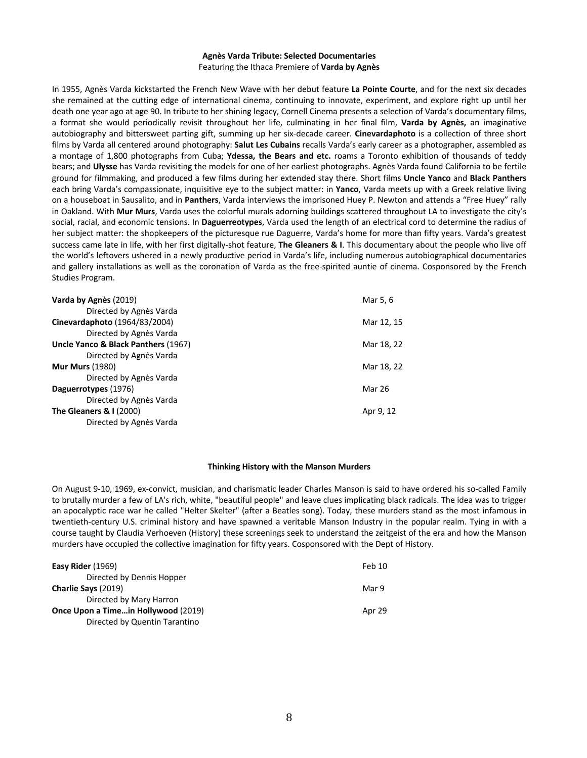# **Agnès Varda Tribute: Selected Documentaries** Featuring the Ithaca Premiere of **Varda by Agnès**

In 1955, Agnès Varda kickstarted the French New Wave with her debut feature **La Pointe Courte**, and for the next six decades she remained at the cutting edge of international cinema, continuing to innovate, experiment, and explore right up until her death one year ago at age 90. In tribute to her shining legacy, Cornell Cinema presents a selection of Varda's documentary films, a format she would periodically revisit throughout her life, culminating in her final film, **Varda by Agnès,** an imaginative autobiography and bittersweet parting gift, summing up her six-decade career. **Cinevardaphoto** is a collection of three short films by Varda all centered around photography: **Salut Les Cubains** recalls Varda's early career as a photographer, assembled as a montage of 1,800 photographs from Cuba; **Ydessa, the Bears and etc.** roams a Toronto exhibition of thousands of teddy bears; and **Ulysse** has Varda revisiting the models for one of her earliest photographs. Agnès Varda found California to be fertile ground for filmmaking, and produced a few films during her extended stay there. Short films **Uncle Yanco** and **Black Panthers** each bring Varda's compassionate, inquisitive eye to the subject matter: in **Yanco**, Varda meets up with a Greek relative living on a houseboat in Sausalito, and in **Panthers**, Varda interviews the imprisoned Huey P. Newton and attends a "Free Huey" rally in Oakland. With **Mur Murs**, Varda uses the colorful murals adorning buildings scattered throughout LA to investigate the city's social, racial, and economic tensions. In **Daguerreotypes**, Varda used the length of an electrical cord to determine the radius of her subject matter: the shopkeepers of the picturesque rue Daguerre, Varda's home for more than fifty years. Varda's greatest success came late in life, with her first digitally-shot feature, **The Gleaners & I**. This documentary about the people who live off the world's leftovers ushered in a newly productive period in Varda's life, including numerous autobiographical documentaries and gallery installations as well as the coronation of Varda as the free-spirited auntie of cinema. Cosponsored by the French Studies Program.

| Varda by Agnès (2019)               | Mar 5, 6      |
|-------------------------------------|---------------|
| Directed by Agnès Varda             |               |
| Cinevardaphoto (1964/83/2004)       | Mar 12, 15    |
| Directed by Agnès Varda             |               |
| Uncle Yanco & Black Panthers (1967) | Mar 18, 22    |
| Directed by Agnès Varda             |               |
| <b>Mur Murs (1980)</b>              | Mar 18, 22    |
| Directed by Agnès Varda             |               |
| Daguerrotypes (1976)                | <b>Mar 26</b> |
| Directed by Agnès Varda             |               |
| <b>The Gleaners &amp; I (2000)</b>  | Apr 9, 12     |
| Directed by Agnès Varda             |               |

## **Thinking History with the Manson Murders**

On August 9-10, 1969, ex-convict, musician, and charismatic leader Charles Manson is said to have ordered his so-called Family to brutally murder a few of LA's rich, white, "beautiful people" and leave clues implicating black radicals. The idea was to trigger an apocalyptic race war he called "Helter Skelter" (after a Beatles song). Today, these murders stand as the most infamous in twentieth-century U.S. criminal history and have spawned a veritable Manson Industry in the popular realm. Tying in with a course taught by Claudia Verhoeven (History) these screenings seek to understand the zeitgeist of the era and how the Manson murders have occupied the collective imagination for fifty years. Cosponsored with the Dept of History.

| Easy Rider (1969)                   | Feb 10 |
|-------------------------------------|--------|
| Directed by Dennis Hopper           |        |
| Charlie Says (2019)                 | Mar 9  |
| Directed by Mary Harron             |        |
| Once Upon a Timein Hollywood (2019) | Apr 29 |
| Directed by Quentin Tarantino       |        |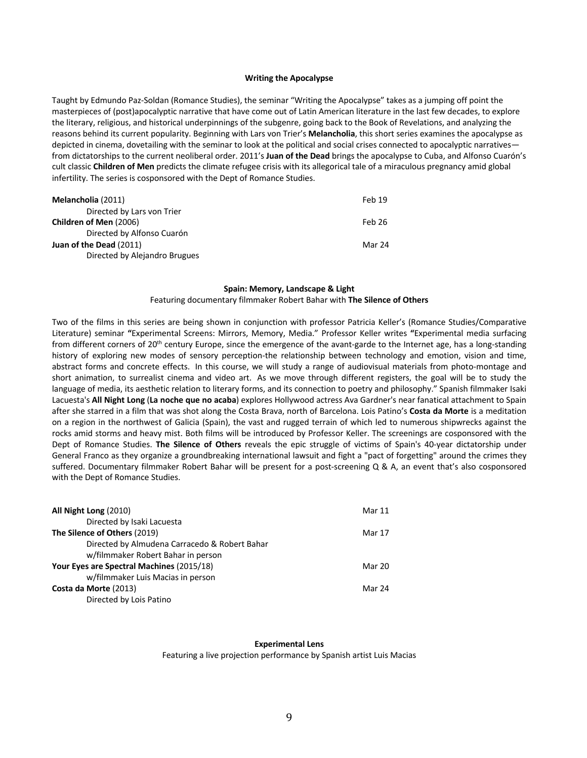## **Writing the Apocalypse**

Taught by Edmundo Paz-Soldan (Romance Studies), the seminar "Writing the Apocalypse" takes as a jumping off point the masterpieces of (post)apocalyptic narrative that have come out of Latin American literature in the last few decades, to explore the literary, religious, and historical underpinnings of the subgenre, going back to the Book of Revelations, and analyzing the reasons behind its current popularity. Beginning with Lars von Trier's **Melancholia**, this short series examines the apocalypse as depicted in cinema, dovetailing with the seminar to look at the political and social crises connected to apocalyptic narratives from dictatorships to the current neoliberal order. 2011's **Juan of the Dead** brings the apocalypse to Cuba, and Alfonso Cuarón's cult classic **Children of Men** predicts the climate refugee crisis with its allegorical tale of a miraculous pregnancy amid global infertility. The series is cosponsored with the Dept of Romance Studies.

| Melancholia (2011)            | Feb 19 |
|-------------------------------|--------|
| Directed by Lars von Trier    |        |
| Children of Men (2006)        | Feb 26 |
| Directed by Alfonso Cuarón    |        |
| Juan of the Dead (2011)       | Mar 24 |
| Directed by Alejandro Brugues |        |

## **Spain: Memory, Landscape & Light**

## Featuring documentary filmmaker Robert Bahar with **The Silence of Others**

Two of the films in this series are being shown in conjunction with professor Patricia Keller's (Romance Studies/Comparative Literature) seminar **"**Experimental Screens: Mirrors, Memory, Media." Professor Keller writes **"**Experimental media surfacing from different corners of 20<sup>th</sup> century Europe, since the emergence of the avant-garde to the Internet age, has a long-standing history of exploring new modes of sensory perception-the relationship between technology and emotion, vision and time, abstract forms and concrete effects. In this course, we will study a range of audiovisual materials from photo-montage and short animation, to surrealist cinema and video art. As we move through different registers, the goal will be to study the language of media, its aesthetic relation to literary forms, and its connection to poetry and philosophy." Spanish filmmaker Isaki Lacuesta's **All Night Long** (**La noche que no acaba**) explores Hollywood actress Ava Gardner's near fanatical attachment to Spain after she starred in a film that was shot along the Costa Brava, north of Barcelona. Lois Patino's **Costa da Morte** is a meditation on a region in the northwest of Galicia (Spain), the vast and rugged terrain of which led to numerous shipwrecks against the rocks amid storms and heavy mist. Both films will be introduced by Professor Keller. The screenings are cosponsored with the Dept of Romance Studies. **The Silence of Others** reveals the epic struggle of victims of Spain's 40-year dictatorship under General Franco as they organize a groundbreaking international lawsuit and fight a "pact of forgetting" around the crimes they suffered. Documentary filmmaker Robert Bahar will be present for a post-screening Q & A, an event that's also cosponsored with the Dept of Romance Studies.

| All Night Long (2010)                         | Mar 11 |
|-----------------------------------------------|--------|
| Directed by Isaki Lacuesta                    |        |
| The Silence of Others (2019)                  | Mar 17 |
| Directed by Almudena Carracedo & Robert Bahar |        |
| w/filmmaker Robert Bahar in person            |        |
| Your Eyes are Spectral Machines (2015/18)     | Mar 20 |
| w/filmmaker Luis Macias in person             |        |
| Costa da Morte (2013)                         | Mar 24 |
| Directed by Lois Patino                       |        |

#### **Experimental Lens**

Featuring a live projection performance by Spanish artist Luis Macias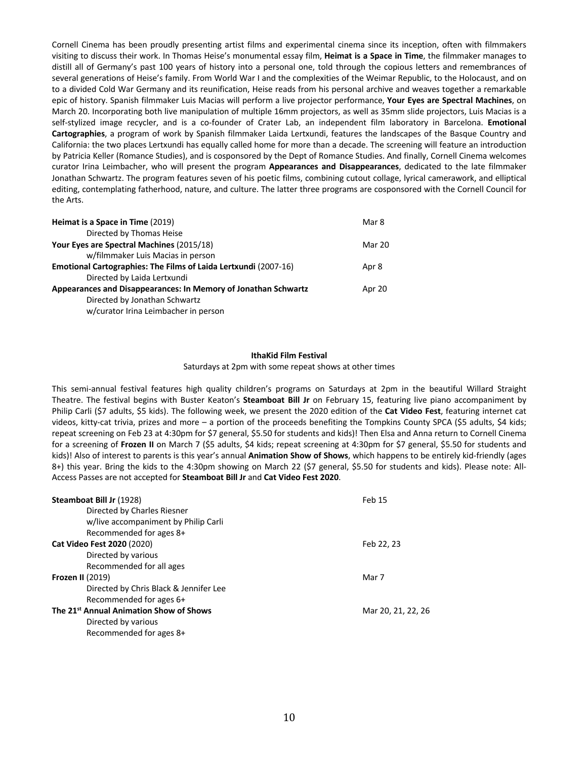Cornell Cinema has been proudly presenting artist films and experimental cinema since its inception, often with filmmakers visiting to discuss their work. In Thomas Heise's monumental essay film, **Heimat is a Space in Time**, the filmmaker manages to distill all of Germany's past 100 years of history into a personal one, told through the copious letters and remembrances of several generations of Heise's family. From World War I and the complexities of the Weimar Republic, to the Holocaust, and on to a divided Cold War Germany and its reunification, Heise reads from his personal archive and weaves together a remarkable epic of history. Spanish filmmaker Luis Macias will perform a live projector performance, **Your Eyes are Spectral Machines**, on March 20. Incorporating both live manipulation of multiple 16mm projectors, as well as 35mm slide projectors, Luis Macias is a self-stylized image recycler, and is a co-founder of Crater Lab, an independent film laboratory in Barcelona. **Emotional Cartographies**, a program of work by Spanish filmmaker Laida Lertxundi, features the landscapes of the Basque Country and California: the two places Lertxundi has equally called home for more than a decade. The screening will feature an introduction by Patricia Keller (Romance Studies), and is cosponsored by the Dept of Romance Studies. And finally, Cornell Cinema welcomes curator Irina Leimbacher, who will present the program **Appearances and Disappearances**, dedicated to the late filmmaker Jonathan Schwartz. The program features seven of his poetic films, combining cutout collage, lyrical camerawork, and elliptical editing, contemplating fatherhood, nature, and culture. The latter three programs are cosponsored with the Cornell Council for the Arts.

| Heimat is a Space in Time (2019)                                | Mar 8  |
|-----------------------------------------------------------------|--------|
| Directed by Thomas Heise                                        |        |
| Your Eyes are Spectral Machines (2015/18)                       | Mar 20 |
| w/filmmaker Luis Macias in person                               |        |
| Emotional Cartographies: The Films of Laida Lertxundi (2007-16) | Apr 8  |
| Directed by Laida Lertxundi                                     |        |
| Appearances and Disappearances: In Memory of Jonathan Schwartz  | Apr 20 |
| Directed by Jonathan Schwartz                                   |        |
| w/curator Irina Leimbacher in person                            |        |

# **IthaKid Film Festival**

# Saturdays at 2pm with some repeat shows at other times

This semi-annual festival features high quality children's programs on Saturdays at 2pm in the beautiful Willard Straight Theatre. The festival begins with Buster Keaton's **Steamboat Bill Jr** on February 15, featuring live piano accompaniment by Philip Carli (\$7 adults, \$5 kids). The following week, we present the 2020 edition of the **Cat Video Fest**, featuring internet cat videos, kitty-cat trivia, prizes and more – a portion of the proceeds benefiting the Tompkins County SPCA (\$5 adults, \$4 kids; repeat screening on Feb 23 at 4:30pm for \$7 general, \$5.50 for students and kids)! Then Elsa and Anna return to Cornell Cinema for a screening of **Frozen II** on March 7 (\$5 adults, \$4 kids; repeat screening at 4:30pm for \$7 general, \$5.50 for students and kids)! Also of interest to parents is this year's annual **Animation Show of Shows**, which happens to be entirely kid-friendly (ages 8+) this year. Bring the kids to the 4:30pm showing on March 22 (\$7 general, \$5.50 for students and kids). Please note: All-Access Passes are not accepted for **Steamboat Bill Jr** and **Cat Video Fest 2020**.

| Steamboat Bill Jr (1928)                            | Feb 15             |
|-----------------------------------------------------|--------------------|
| Directed by Charles Riesner                         |                    |
| w/live accompaniment by Philip Carli                |                    |
| Recommended for ages 8+                             |                    |
| <b>Cat Video Fest 2020 (2020)</b>                   | Feb 22, 23         |
| Directed by various                                 |                    |
| Recommended for all ages                            |                    |
| <b>Frozen II (2019)</b>                             | Mar 7              |
| Directed by Chris Black & Jennifer Lee              |                    |
| Recommended for ages 6+                             |                    |
| The 21 <sup>st</sup> Annual Animation Show of Shows | Mar 20, 21, 22, 26 |
| Directed by various                                 |                    |
| Recommended for ages 8+                             |                    |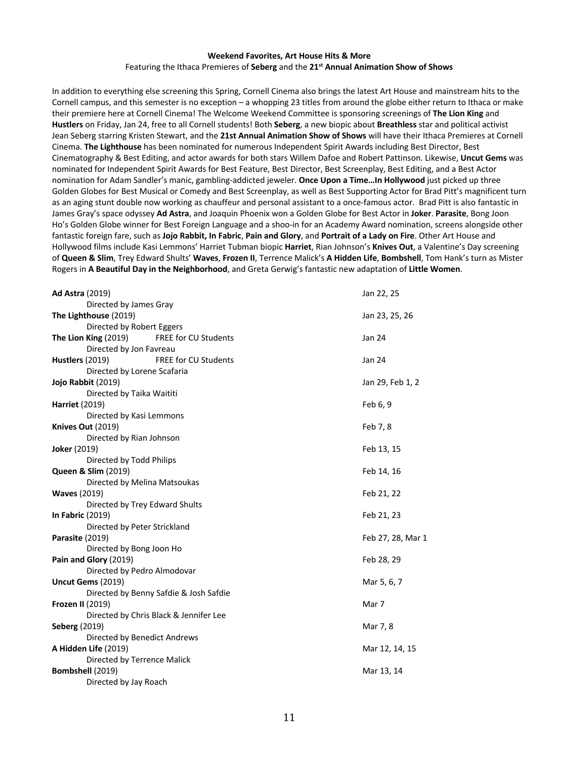# **Weekend Favorites, Art House Hits & More** Featuring the Ithaca Premieres of **Seberg** and the **21st Annual Animation Show of Shows**

In addition to everything else screening this Spring, Cornell Cinema also brings the latest Art House and mainstream hits to the Cornell campus, and this semester is no exception – a whopping 23 titles from around the globe either return to Ithaca or make their premiere here at Cornell Cinema! The Welcome Weekend Committee is sponsoring screenings of **The Lion King** and **Hustlers** on Friday, Jan 24, free to all Cornell students! Both **Seberg**, a new biopic about **Breathless** star and political activist Jean Seberg starring Kristen Stewart, and the **21st Annual Animation Show of Shows** will have their Ithaca Premieres at Cornell Cinema. **The Lighthouse** has been nominated for numerous Independent Spirit Awards including Best Director, Best Cinematography & Best Editing, and actor awards for both stars Willem Dafoe and Robert Pattinson. Likewise, **Uncut Gems** was nominated for Independent Spirit Awards for Best Feature, Best Director, Best Screenplay, Best Editing, and a Best Actor nomination for Adam Sandler's manic, gambling-addicted jeweler. **Once Upon a Time…In Hollywood** just picked up three Golden Globes for Best Musical or Comedy and Best Screenplay, as well as Best Supporting Actor for Brad Pitt's magnificent turn as an aging stunt double now working as chauffeur and personal assistant to a once-famous actor. Brad Pitt is also fantastic in James Gray's space odyssey **Ad Astra**, and Joaquin Phoenix won a Golden Globe for Best Actor in **Joker**. **Parasite**, Bong Joon Ho's Golden Globe winner for Best Foreign Language and a shoo-in for an Academy Award nomination, screens alongside other fantastic foreign fare, such as **Jojo Rabbit, In Fabric**, **Pain and Glory**, and **Portrait of a Lady on Fire**. Other Art House and Hollywood films include Kasi Lemmons' Harriet Tubman biopic **Harriet**, Rian Johnson's **Knives Out**, a Valentine's Day screening of **Queen & Slim**, Trey Edward Shults' **Waves**, **Frozen II**, Terrence Malick's **A Hidden Life**, **Bombshell**, Tom Hank's turn as Mister Rogers in **A Beautiful Day in the Neighborhood**, and Greta Gerwig's fantastic new adaptation of **Little Women**.

| <b>Ad Astra (2019)</b>                              | Jan 22, 25        |
|-----------------------------------------------------|-------------------|
| Directed by James Gray                              |                   |
| The Lighthouse (2019)                               | Jan 23, 25, 26    |
| Directed by Robert Eggers                           |                   |
| The Lion King (2019)<br><b>FREE for CU Students</b> | Jan 24            |
| Directed by Jon Favreau                             |                   |
| Hustlers (2019)<br><b>FREE for CU Students</b>      | Jan 24            |
| Directed by Lorene Scafaria                         |                   |
| Jojo Rabbit (2019)                                  | Jan 29, Feb 1, 2  |
| Directed by Taika Waititi                           |                   |
| <b>Harriet (2019)</b>                               | Feb 6, 9          |
| Directed by Kasi Lemmons                            |                   |
| <b>Knives Out (2019)</b>                            | Feb 7, 8          |
| Directed by Rian Johnson                            |                   |
| <b>Joker (2019)</b>                                 | Feb 13, 15        |
| Directed by Todd Philips                            |                   |
| <b>Queen &amp; Slim (2019)</b>                      | Feb 14, 16        |
| Directed by Melina Matsoukas                        |                   |
| <b>Waves (2019)</b>                                 | Feb 21, 22        |
| Directed by Trey Edward Shults                      |                   |
| <b>In Fabric (2019)</b>                             | Feb 21, 23        |
| Directed by Peter Strickland                        |                   |
| <b>Parasite (2019)</b>                              | Feb 27, 28, Mar 1 |
| Directed by Bong Joon Ho                            |                   |
| Pain and Glory (2019)                               | Feb 28, 29        |
| Directed by Pedro Almodovar                         |                   |
| Uncut Gems (2019)                                   | Mar 5, 6, 7       |
| Directed by Benny Safdie & Josh Safdie              |                   |
| <b>Frozen II (2019)</b>                             | Mar 7             |
| Directed by Chris Black & Jennifer Lee              |                   |
| <b>Seberg (2019)</b>                                | Mar 7, 8          |
| Directed by Benedict Andrews                        |                   |
| A Hidden Life (2019)                                | Mar 12, 14, 15    |
| Directed by Terrence Malick                         |                   |
| Bombshell (2019)                                    | Mar 13, 14        |
| Directed by Jay Roach                               |                   |
|                                                     |                   |